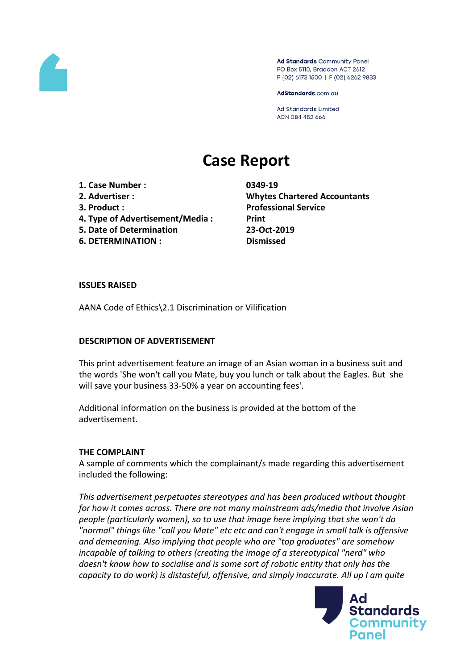

Ad Standards Community Panel PO Box 5110, Braddon ACT 2612 P (02) 6173 1500 | F (02) 6262 9833

AdStandards.com.au

**Ad Standards Limited** ACN 084 452 666

# **Case Report**

**1. Case Number : 0349-19**

- 
- 
- **4. Type of Advertisement/Media : Print**
- **5. Date of Determination 23-Oct-2019**
- **6. DETERMINATION : Dismissed**

**2. Advertiser : Whytes Chartered Accountants 3. Product : Professional Service**

## **ISSUES RAISED**

AANA Code of Ethics\2.1 Discrimination or Vilification

## **DESCRIPTION OF ADVERTISEMENT**

This print advertisement feature an image of an Asian woman in a business suit and the words 'She won't call you Mate, buy you lunch or talk about the Eagles. But she will save your business 33-50% a year on accounting fees'.

Additional information on the business is provided at the bottom of the advertisement.

## **THE COMPLAINT**

A sample of comments which the complainant/s made regarding this advertisement included the following:

*This advertisement perpetuates stereotypes and has been produced without thought for how it comes across. There are not many mainstream ads/media that involve Asian people (particularly women), so to use that image here implying that she won't do "normal" things like "call you Mate" etc etc and can't engage in small talk is offensive and demeaning. Also implying that people who are "top graduates" are somehow incapable of talking to others (creating the image of a stereotypical "nerd" who doesn't know how to socialise and is some sort of robotic entity that only has the capacity to do work) is distasteful, offensive, and simply inaccurate. All up I am quite*

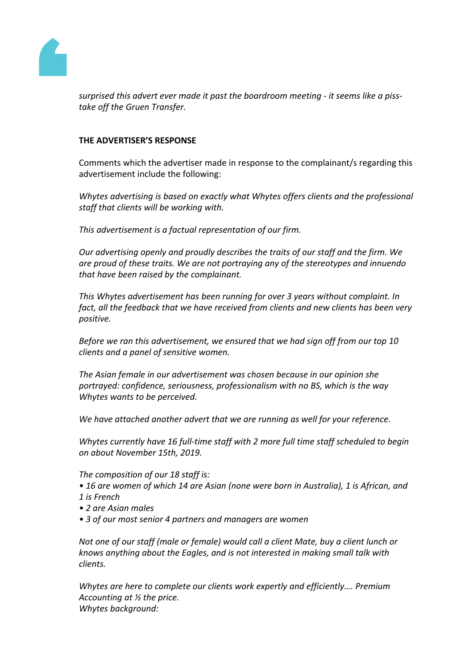

*surprised this advert ever made it past the boardroom meeting - it seems like a pisstake off the Gruen Transfer.*

## **THE ADVERTISER'S RESPONSE**

Comments which the advertiser made in response to the complainant/s regarding this advertisement include the following:

*Whytes advertising is based on exactly what Whytes offers clients and the professional staff that clients will be working with.*

*This advertisement is a factual representation of our firm.*

*Our advertising openly and proudly describes the traits of our staff and the firm. We are proud of these traits. We are not portraying any of the stereotypes and innuendo that have been raised by the complainant.*

*This Whytes advertisement has been running for over 3 years without complaint. In fact, all the feedback that we have received from clients and new clients has been very positive.*

*Before we ran this advertisement, we ensured that we had sign off from our top 10 clients and a panel of sensitive women.*

*The Asian female in our advertisement was chosen because in our opinion she portrayed: confidence, seriousness, professionalism with no BS, which is the way Whytes wants to be perceived.*

*We have attached another advert that we are running as well for your reference.*

*Whytes currently have 16 full-time staff with 2 more full time staff scheduled to begin on about November 15th, 2019.*

*The composition of our 18 staff is:*

- *• 16 are women of which 14 are Asian (none were born in Australia), 1 is African, and 1 is French*
- *• 2 are Asian males*
- *• 3 of our most senior 4 partners and managers are women*

*Not one of our staff (male or female) would call a client Mate, buy a client lunch or knows anything about the Eagles, and is not interested in making small talk with clients.*

*Whytes are here to complete our clients work expertly and efficiently…. Premium Accounting at ½ the price. Whytes background:*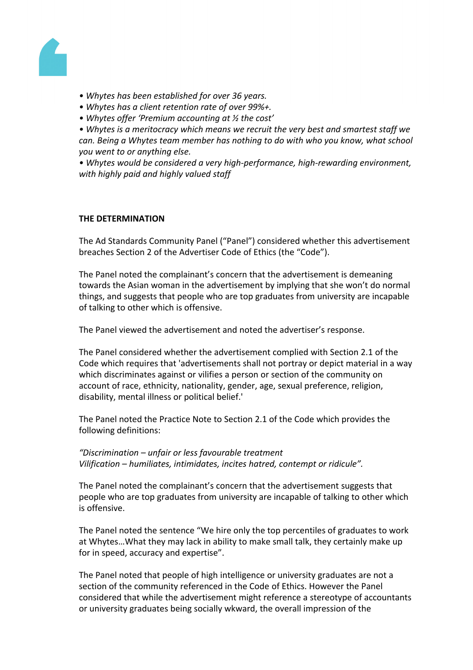

- *• Whytes has been established for over 36 years.*
- *• Whytes has a client retention rate of over 99%+.*
- *• Whytes offer 'Premium accounting at ½ the cost'*

*• Whytes is a meritocracy which means we recruit the very best and smartest staff we can. Being a Whytes team member has nothing to do with who you know, what school you went to or anything else.*

*• Whytes would be considered a very high-performance, high-rewarding environment, with highly paid and highly valued staff*

## **THE DETERMINATION**

The Ad Standards Community Panel ("Panel") considered whether this advertisement breaches Section 2 of the Advertiser Code of Ethics (the "Code").

The Panel noted the complainant's concern that the advertisement is demeaning towards the Asian woman in the advertisement by implying that she won't do normal things, and suggests that people who are top graduates from university are incapable of talking to other which is offensive.

The Panel viewed the advertisement and noted the advertiser's response.

The Panel considered whether the advertisement complied with Section 2.1 of the Code which requires that 'advertisements shall not portray or depict material in a way which discriminates against or vilifies a person or section of the community on account of race, ethnicity, nationality, gender, age, sexual preference, religion, disability, mental illness or political belief.'

The Panel noted the Practice Note to Section 2.1 of the Code which provides the following definitions:

*"Discrimination – unfair or less favourable treatment Vilification – humiliates, intimidates, incites hatred, contempt or ridicule".*

The Panel noted the complainant's concern that the advertisement suggests that people who are top graduates from university are incapable of talking to other which is offensive.

The Panel noted the sentence "We hire only the top percentiles of graduates to work at Whytes…What they may lack in ability to make small talk, they certainly make up for in speed, accuracy and expertise".

The Panel noted that people of high intelligence or university graduates are not a section of the community referenced in the Code of Ethics. However the Panel considered that while the advertisement might reference a stereotype of accountants or university graduates being socially wkward, the overall impression of the